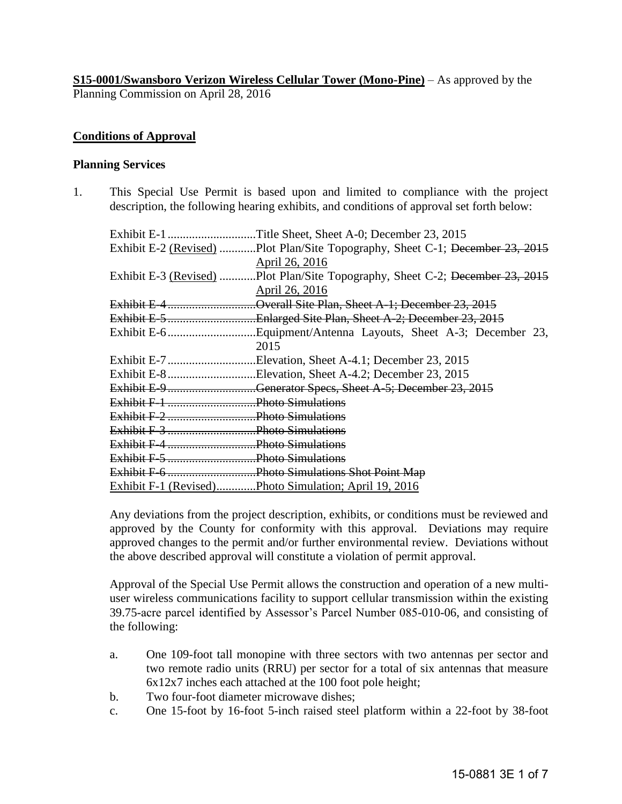**S15-0001/Swansboro Verizon Wireless Cellular Tower (Mono-Pine)** – As approved by the Planning Commission on April 28, 2016

### **Conditions of Approval**

#### **Planning Services**

1. This Special Use Permit is based upon and limited to compliance with the project description, the following hearing exhibits, and conditions of approval set forth below:

| Exhibit E-1 | Title Sheet, Sheet A-0; December 23, 2015                                     |
|-------------|-------------------------------------------------------------------------------|
|             | Exhibit E-2 (Revised) Plot Plan/Site Topography, Sheet C-1; December 23, 2015 |
|             | April 26, 2016                                                                |
|             | Exhibit E-3 (Revised) Plot Plan/Site Topography, Sheet C-2; December 23, 2015 |
|             | April 26, 2016                                                                |
|             | Exhibit E-4Overall Site Plan, Sheet A-1; December 23, 2015                    |
|             | Exhibit E-5Enlarged Site Plan, Sheet A-2; December 23, 2015                   |
|             |                                                                               |
|             | 2015                                                                          |
|             | Exhibit E-7Elevation, Sheet A-4.1; December 23, 2015                          |
|             | Exhibit E-8Elevation, Sheet A-4.2; December 23, 2015                          |
|             | Exhibit E-9Generator Specs, Sheet A-5; December 23, 2015                      |
|             |                                                                               |
|             |                                                                               |
|             |                                                                               |
|             |                                                                               |
|             |                                                                               |
|             | Exhibit F-6 Photo Simulations Shot Point Map                                  |
|             | Exhibit F-1 (Revised)Photo Simulation; April 19, 2016                         |

Any deviations from the project description, exhibits, or conditions must be reviewed and approved by the County for conformity with this approval. Deviations may require approved changes to the permit and/or further environmental review. Deviations without the above described approval will constitute a violation of permit approval.

Approval of the Special Use Permit allows the construction and operation of a new multiuser wireless communications facility to support cellular transmission within the existing 39.75-acre parcel identified by Assessor's Parcel Number 085-010-06, and consisting of the following:

- a. One 109-foot tall monopine with three sectors with two antennas per sector and two remote radio units (RRU) per sector for a total of six antennas that measure 6x12x7 inches each attached at the 100 foot pole height;
- b. Two four-foot diameter microwave dishes;
- c. One 15-foot by 16-foot 5-inch raised steel platform within a 22-foot by 38-foot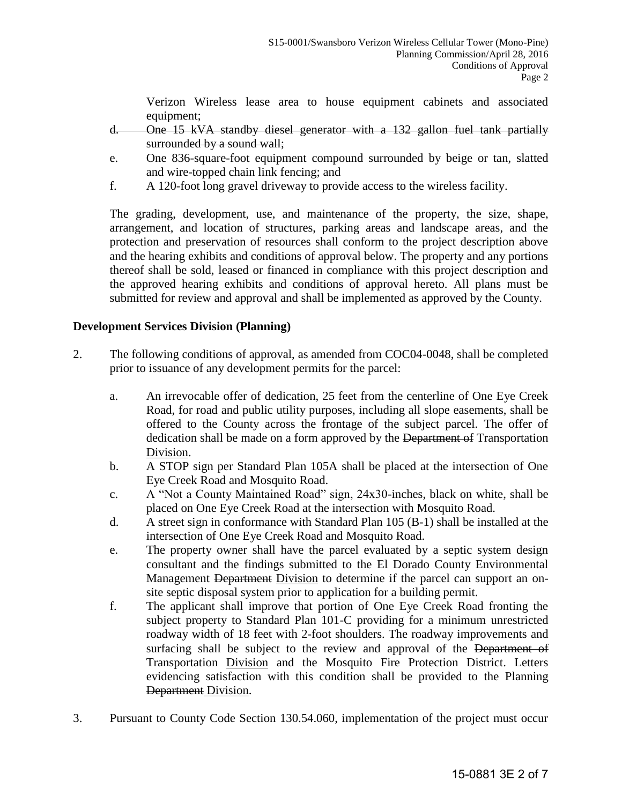Verizon Wireless lease area to house equipment cabinets and associated equipment;

- d. One 15 kVA standby diesel generator with a 132 gallon fuel tank partially surrounded by a sound wall;
- e. One 836-square-foot equipment compound surrounded by beige or tan, slatted and wire-topped chain link fencing; and
- f. A 120-foot long gravel driveway to provide access to the wireless facility.

 The grading, development, use, and maintenance of the property, the size, shape, arrangement, and location of structures, parking areas and landscape areas, and the protection and preservation of resources shall conform to the project description above and the hearing exhibits and conditions of approval below. The property and any portions thereof shall be sold, leased or financed in compliance with this project description and the approved hearing exhibits and conditions of approval hereto. All plans must be submitted for review and approval and shall be implemented as approved by the County.

# **Development Services Division (Planning)**

- 2. The following conditions of approval, as amended from COC04-0048, shall be completed prior to issuance of any development permits for the parcel:
	- a. An irrevocable offer of dedication, 25 feet from the centerline of One Eye Creek Road, for road and public utility purposes, including all slope easements, shall be offered to the County across the frontage of the subject parcel. The offer of dedication shall be made on a form approved by the Department of Transportation Division.
	- b. A STOP sign per Standard Plan 105A shall be placed at the intersection of One Eye Creek Road and Mosquito Road.
	- c. A "Not a County Maintained Road" sign, 24x30-inches, black on white, shall be placed on One Eye Creek Road at the intersection with Mosquito Road.
	- d. A street sign in conformance with Standard Plan 105 (B-1) shall be installed at the intersection of One Eye Creek Road and Mosquito Road.
	- e. The property owner shall have the parcel evaluated by a septic system design consultant and the findings submitted to the El Dorado County Environmental Management Department Division to determine if the parcel can support an onsite septic disposal system prior to application for a building permit.
	- f. The applicant shall improve that portion of One Eye Creek Road fronting the subject property to Standard Plan 101-C providing for a minimum unrestricted roadway width of 18 feet with 2-foot shoulders. The roadway improvements and surfacing shall be subject to the review and approval of the Department of Transportation Division and the Mosquito Fire Protection District. Letters evidencing satisfaction with this condition shall be provided to the Planning Department Division.
- 3. Pursuant to County Code Section 130.54.060, implementation of the project must occur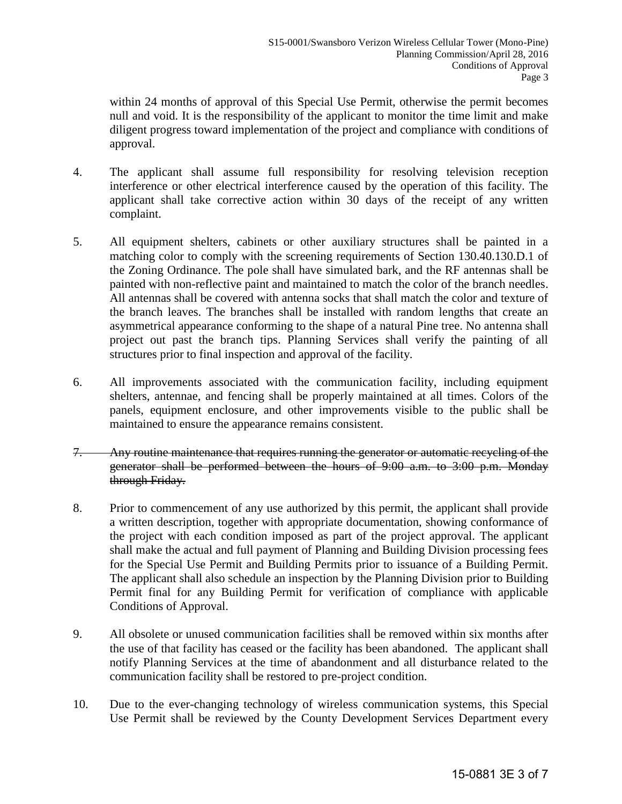within 24 months of approval of this Special Use Permit, otherwise the permit becomes null and void. It is the responsibility of the applicant to monitor the time limit and make diligent progress toward implementation of the project and compliance with conditions of approval.

- 4. The applicant shall assume full responsibility for resolving television reception interference or other electrical interference caused by the operation of this facility. The applicant shall take corrective action within 30 days of the receipt of any written complaint.
- 5. All equipment shelters, cabinets or other auxiliary structures shall be painted in a matching color to comply with the screening requirements of Section 130.40.130.D.1 of the Zoning Ordinance. The pole shall have simulated bark, and the RF antennas shall be painted with non-reflective paint and maintained to match the color of the branch needles. All antennas shall be covered with antenna socks that shall match the color and texture of the branch leaves. The branches shall be installed with random lengths that create an asymmetrical appearance conforming to the shape of a natural Pine tree. No antenna shall project out past the branch tips. Planning Services shall verify the painting of all structures prior to final inspection and approval of the facility.
- 6. All improvements associated with the communication facility, including equipment shelters, antennae, and fencing shall be properly maintained at all times. Colors of the panels, equipment enclosure, and other improvements visible to the public shall be maintained to ensure the appearance remains consistent.
- 7. Any routine maintenance that requires running the generator or automatic recycling of the generator shall be performed between the hours of 9:00 a.m. to 3:00 p.m. Monday through Friday.
- 8. Prior to commencement of any use authorized by this permit, the applicant shall provide a written description, together with appropriate documentation, showing conformance of the project with each condition imposed as part of the project approval. The applicant shall make the actual and full payment of Planning and Building Division processing fees for the Special Use Permit and Building Permits prior to issuance of a Building Permit. The applicant shall also schedule an inspection by the Planning Division prior to Building Permit final for any Building Permit for verification of compliance with applicable Conditions of Approval.
- 9. All obsolete or unused communication facilities shall be removed within six months after the use of that facility has ceased or the facility has been abandoned. The applicant shall notify Planning Services at the time of abandonment and all disturbance related to the communication facility shall be restored to pre-project condition.
- 10. Due to the ever-changing technology of wireless communication systems, this Special Use Permit shall be reviewed by the County Development Services Department every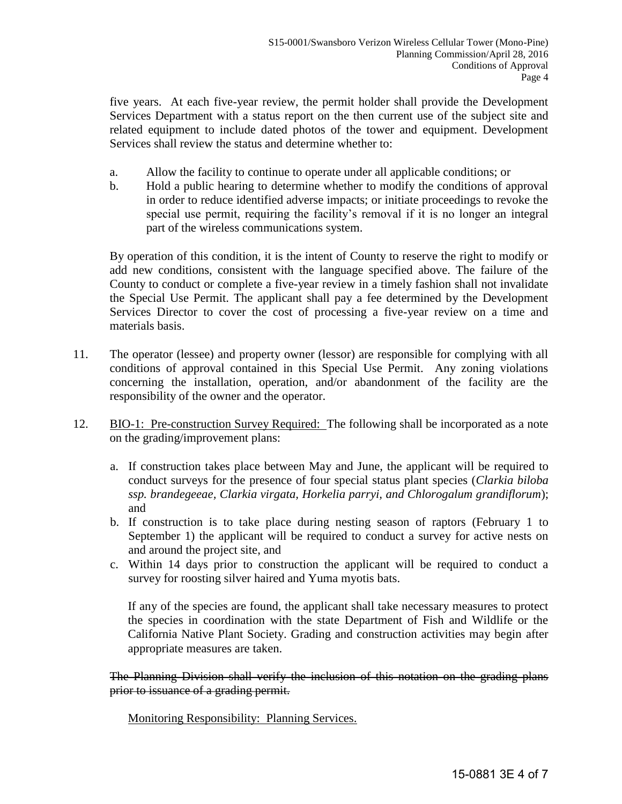five years. At each five-year review, the permit holder shall provide the Development Services Department with a status report on the then current use of the subject site and related equipment to include dated photos of the tower and equipment. Development Services shall review the status and determine whether to:

- a. Allow the facility to continue to operate under all applicable conditions; or
- b. Hold a public hearing to determine whether to modify the conditions of approval in order to reduce identified adverse impacts; or initiate proceedings to revoke the special use permit, requiring the facility's removal if it is no longer an integral part of the wireless communications system.

 By operation of this condition, it is the intent of County to reserve the right to modify or add new conditions, consistent with the language specified above. The failure of the County to conduct or complete a five-year review in a timely fashion shall not invalidate the Special Use Permit. The applicant shall pay a fee determined by the Development Services Director to cover the cost of processing a five-year review on a time and materials basis.

- 11. The operator (lessee) and property owner (lessor) are responsible for complying with all conditions of approval contained in this Special Use Permit. Any zoning violations concerning the installation, operation, and/or abandonment of the facility are the responsibility of the owner and the operator.
- 12. BIO-1: Pre-construction Survey Required: The following shall be incorporated as a note on the grading/improvement plans:
	- a. If construction takes place between May and June, the applicant will be required to conduct surveys for the presence of four special status plant species (*Clarkia biloba ssp. brandegeeae, Clarkia virgata, Horkelia parryi, and Chlorogalum grandiflorum*); and
	- b. If construction is to take place during nesting season of raptors (February 1 to September 1) the applicant will be required to conduct a survey for active nests on and around the project site, and
	- c. Within 14 days prior to construction the applicant will be required to conduct a survey for roosting silver haired and Yuma myotis bats.

If any of the species are found, the applicant shall take necessary measures to protect the species in coordination with the state Department of Fish and Wildlife or the California Native Plant Society. Grading and construction activities may begin after appropriate measures are taken.

The Planning Division shall verify the inclusion of this notation on the grading plans prior to issuance of a grading permit.

Monitoring Responsibility: Planning Services.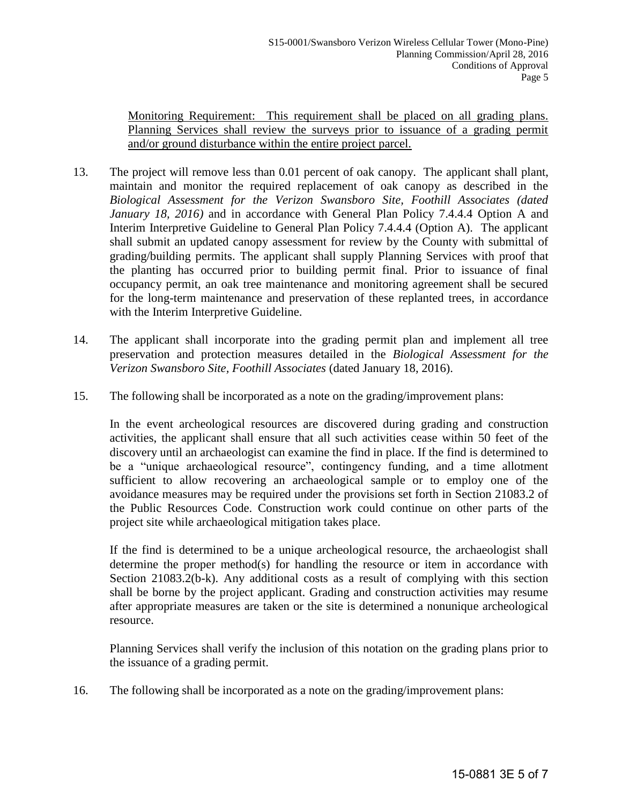Monitoring Requirement: This requirement shall be placed on all grading plans. Planning Services shall review the surveys prior to issuance of a grading permit and/or ground disturbance within the entire project parcel.

- 13. The project will remove less than 0.01 percent of oak canopy. The applicant shall plant, maintain and monitor the required replacement of oak canopy as described in the *Biological Assessment for the Verizon Swansboro Site, Foothill Associates (dated January 18, 2016)* and in accordance with General Plan Policy 7.4.4.4 Option A and Interim Interpretive Guideline to General Plan Policy 7.4.4.4 (Option A). The applicant shall submit an updated canopy assessment for review by the County with submittal of grading/building permits. The applicant shall supply Planning Services with proof that the planting has occurred prior to building permit final. Prior to issuance of final occupancy permit, an oak tree maintenance and monitoring agreement shall be secured for the long-term maintenance and preservation of these replanted trees, in accordance with the Interim Interpretive Guideline.
- 14. The applicant shall incorporate into the grading permit plan and implement all tree preservation and protection measures detailed in the *Biological Assessment for the Verizon Swansboro Site, Foothill Associates* (dated January 18, 2016).
- 15. The following shall be incorporated as a note on the grading/improvement plans:

In the event archeological resources are discovered during grading and construction activities, the applicant shall ensure that all such activities cease within 50 feet of the discovery until an archaeologist can examine the find in place. If the find is determined to be a "unique archaeological resource", contingency funding, and a time allotment sufficient to allow recovering an archaeological sample or to employ one of the avoidance measures may be required under the provisions set forth in Section 21083.2 of the Public Resources Code. Construction work could continue on other parts of the project site while archaeological mitigation takes place.

If the find is determined to be a unique archeological resource, the archaeologist shall determine the proper method(s) for handling the resource or item in accordance with Section 21083.2(b-k). Any additional costs as a result of complying with this section shall be borne by the project applicant. Grading and construction activities may resume after appropriate measures are taken or the site is determined a nonunique archeological resource.

Planning Services shall verify the inclusion of this notation on the grading plans prior to the issuance of a grading permit.

16. The following shall be incorporated as a note on the grading/improvement plans: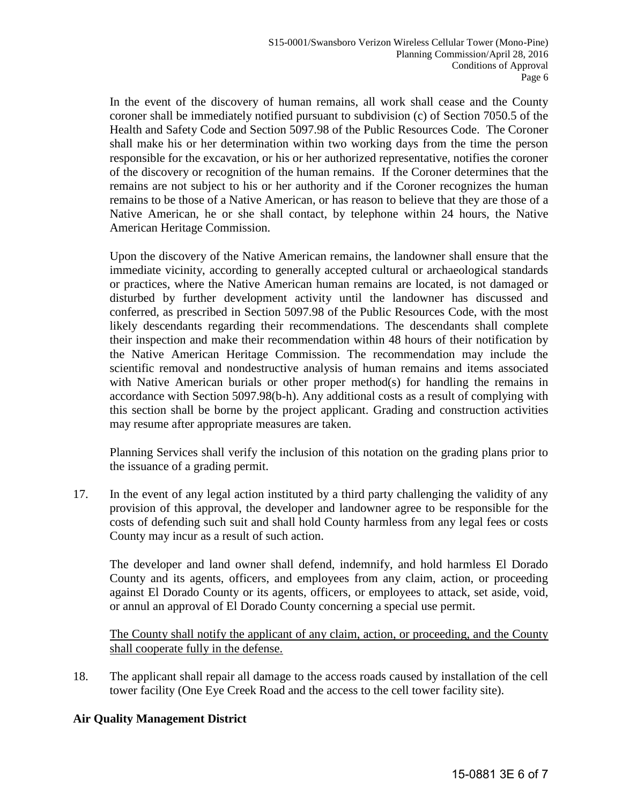In the event of the discovery of human remains, all work shall cease and the County coroner shall be immediately notified pursuant to subdivision (c) of Section 7050.5 of the Health and Safety Code and Section 5097.98 of the Public Resources Code. The Coroner shall make his or her determination within two working days from the time the person responsible for the excavation, or his or her authorized representative, notifies the coroner of the discovery or recognition of the human remains. If the Coroner determines that the remains are not subject to his or her authority and if the Coroner recognizes the human remains to be those of a Native American, or has reason to believe that they are those of a Native American, he or she shall contact, by telephone within 24 hours, the Native American Heritage Commission.

 Upon the discovery of the Native American remains, the landowner shall ensure that the immediate vicinity, according to generally accepted cultural or archaeological standards or practices, where the Native American human remains are located, is not damaged or disturbed by further development activity until the landowner has discussed and conferred, as prescribed in Section 5097.98 of the Public Resources Code, with the most likely descendants regarding their recommendations. The descendants shall complete their inspection and make their recommendation within 48 hours of their notification by the Native American Heritage Commission. The recommendation may include the scientific removal and nondestructive analysis of human remains and items associated with Native American burials or other proper method(s) for handling the remains in accordance with Section 5097.98(b-h). Any additional costs as a result of complying with this section shall be borne by the project applicant. Grading and construction activities may resume after appropriate measures are taken.

 Planning Services shall verify the inclusion of this notation on the grading plans prior to the issuance of a grading permit.

17. In the event of any legal action instituted by a third party challenging the validity of any provision of this approval, the developer and landowner agree to be responsible for the costs of defending such suit and shall hold County harmless from any legal fees or costs County may incur as a result of such action.

 The developer and land owner shall defend, indemnify, and hold harmless El Dorado County and its agents, officers, and employees from any claim, action, or proceeding against El Dorado County or its agents, officers, or employees to attack, set aside, void, or annul an approval of El Dorado County concerning a special use permit.

 The County shall notify the applicant of any claim, action, or proceeding, and the County shall cooperate fully in the defense.

18. The applicant shall repair all damage to the access roads caused by installation of the cell tower facility (One Eye Creek Road and the access to the cell tower facility site).

## **Air Quality Management District**